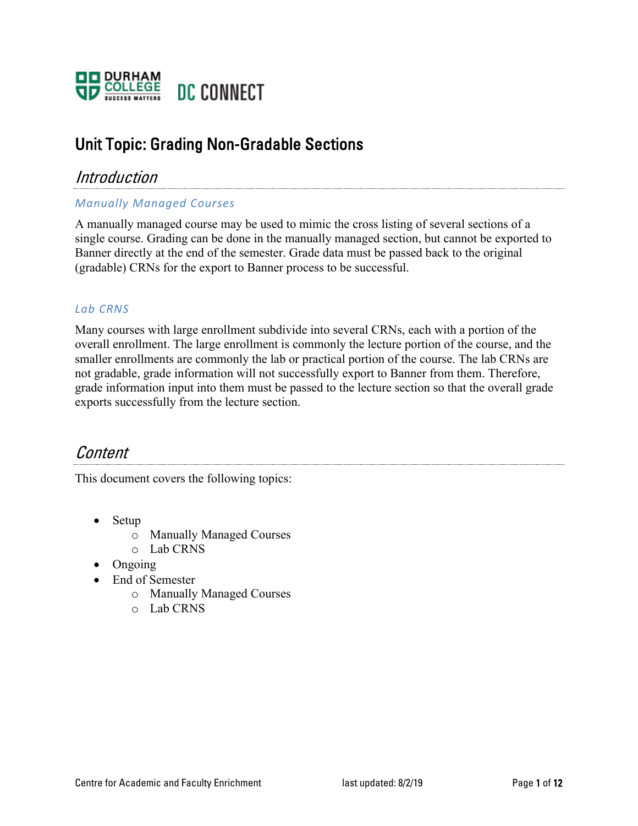

## Unit Topic: Grading Non-Gradable Sections

### Introduction

#### *Manually Managed Courses*

A manually managed course may be used to mimic the cross listing of several sections of a single course. Grading can be done in the manually managed section, but cannot be exported to Banner directly at the end of the semester. Grade data must be passed back to the original (gradable) CRNs for the export to Banner process to be successful.

#### *Lab CRNS*

Many courses with large enrollment subdivide into several CRNs, each with a portion of the overall enrollment. The large enrollment is commonly the lecture portion of the course, and the smaller enrollments are commonly the lab or practical portion of the course. The lab CRNs are not gradable, grade information will not successfully export to Banner from them. Therefore, grade information input into them must be passed to the lecture section so that the overall grade exports successfully from the lecture section.

## Content

This document covers the following topics:

- Setup
	- o Manually Managed Courses
	- o Lab CRNS
- Ongoing
- End of Semester
	- o Manually Managed Courses
	- o Lab CRNS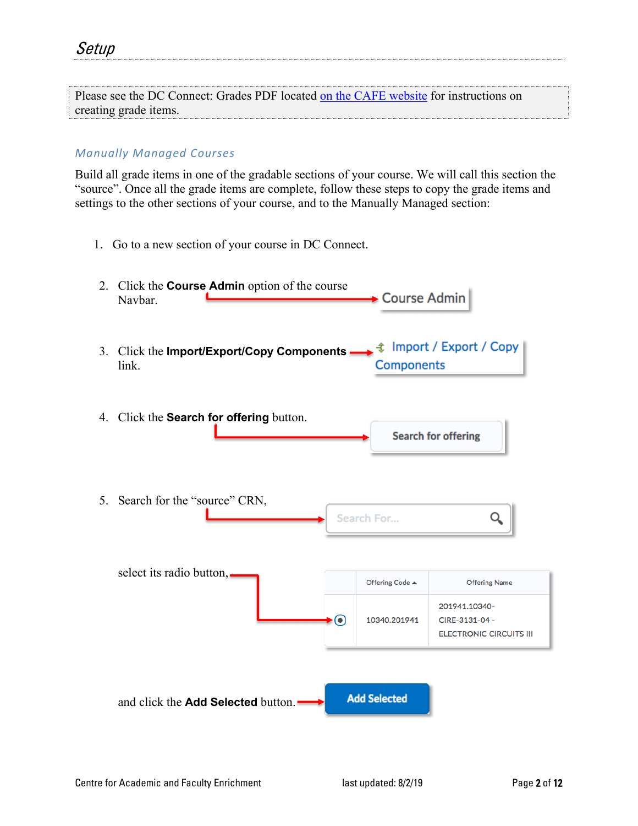| Please see the DC Connect: Grades PDF located on the CAFE website for instructions on |  |
|---------------------------------------------------------------------------------------|--|
| creating grade items.                                                                 |  |

#### *Manually Managed Courses*

Build all grade items in one of the gradable sections of your course. We will call this section the "source". Once all the grade items are complete, follow these steps to copy the grade items and settings to the other sections of your course, and to the Manually Managed section:

1. Go to a new section of your course in DC Connect.

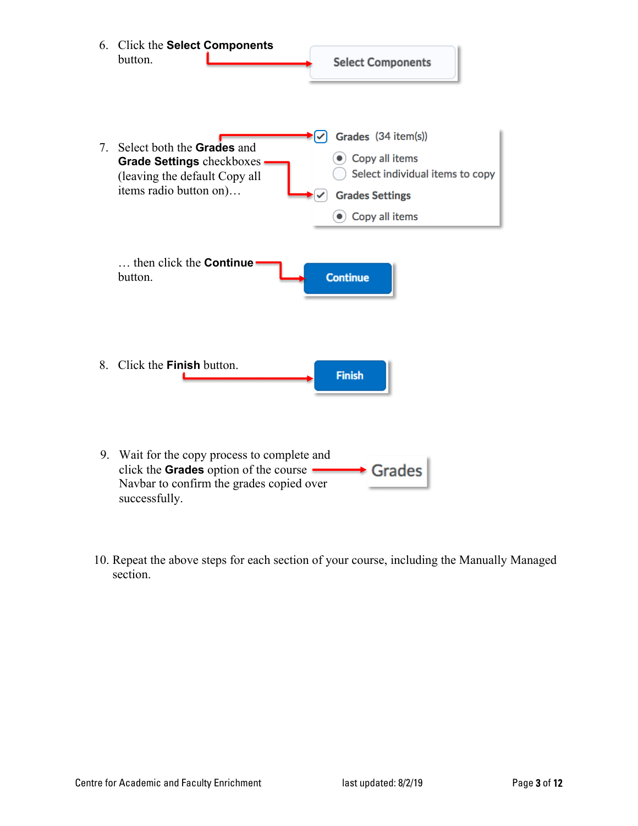

10. Repeat the above steps for each section of your course, including the Manually Managed section.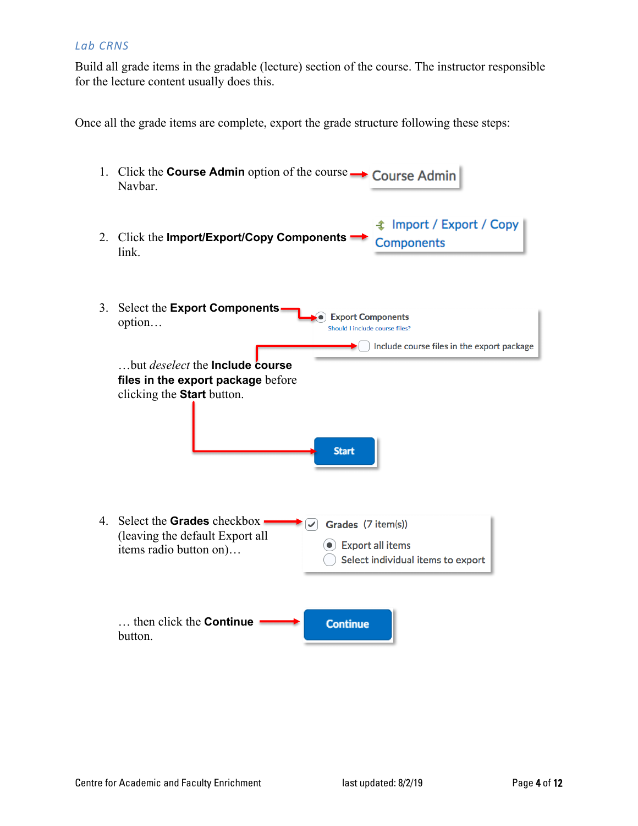#### *Lab CRNS*

Build all grade items in the gradable (lecture) section of the course. The instructor responsible for the lecture content usually does this.

Once all the grade items are complete, export the grade structure following these steps:

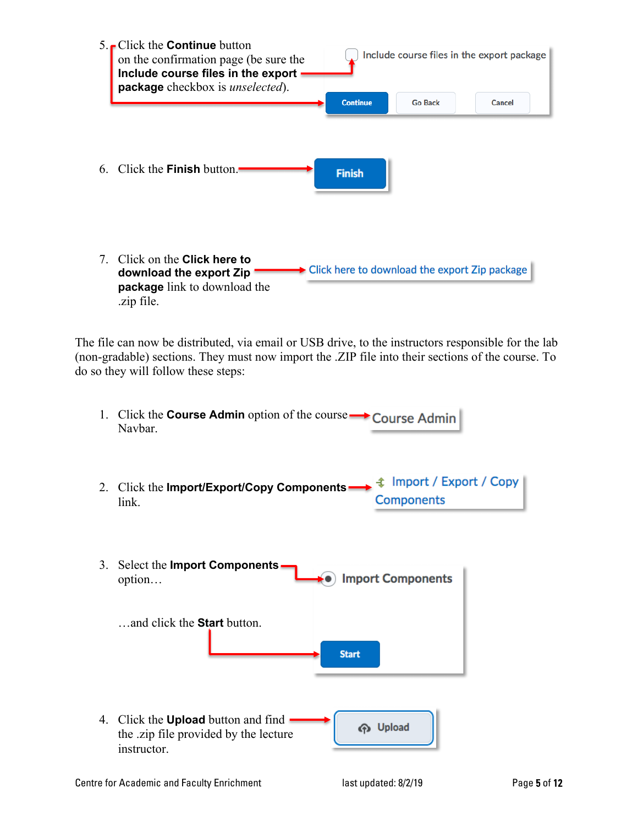

The file can now be distributed, via email or USB drive, to the instructors responsible for the lab (non-gradable) sections. They must now import the .ZIP file into their sections of the course. To do so they will follow these steps:

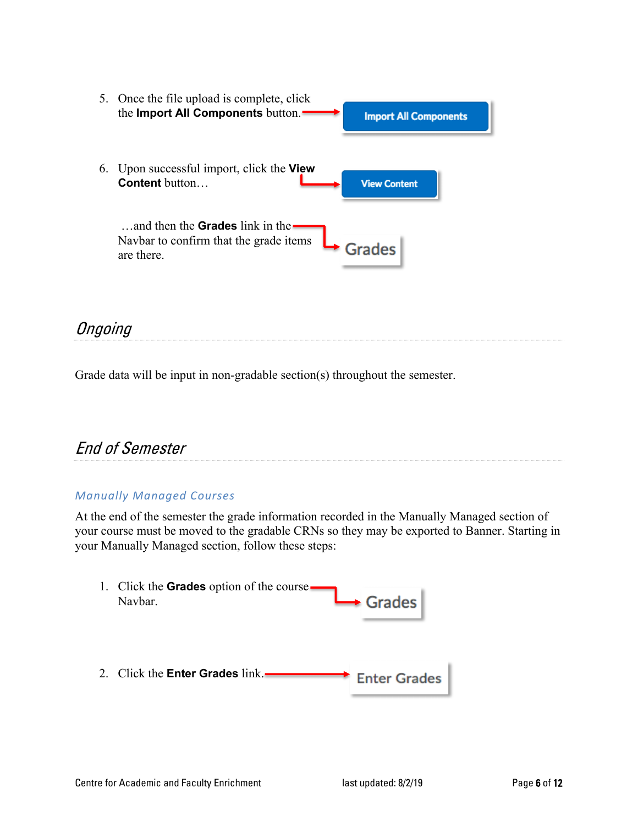

**Ongoing** 

Grade data will be input in non-gradable section(s) throughout the semester.

# End of Semester

#### *Manually Managed Courses*

At the end of the semester the grade information recorded in the Manually Managed section of your course must be moved to the gradable CRNs so they may be exported to Banner. Starting in your Manually Managed section, follow these steps:

| 1. Click the <b>Grades</b> option of the course.<br>Navbar. | $\rightarrow$ Grades |
|-------------------------------------------------------------|----------------------|
| 2. Click the <b>Enter Grades</b> link.                      | <b>Enter Grades</b>  |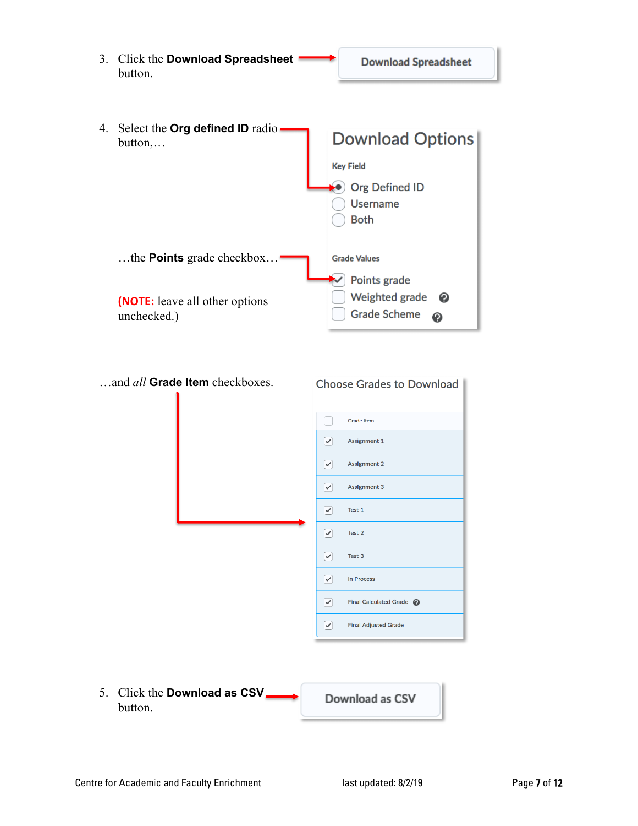

5. Click the **Download as CSV** Download as CSV button.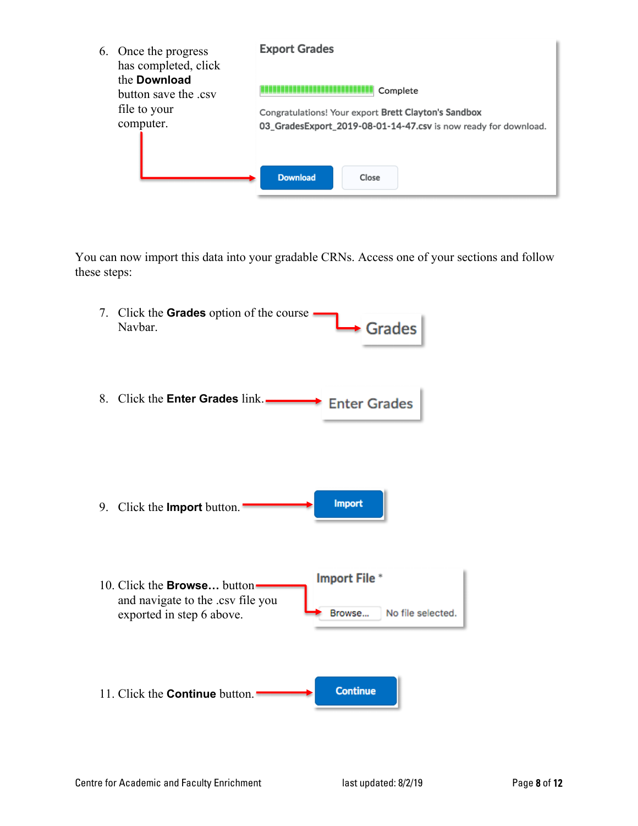| 6. Once the progress<br>has completed, click<br>the <b>Download</b><br>button save the .csv<br>file to your<br>computer. | <b>Export Grades</b><br>Complete<br>Congratulations! Your export Brett Clayton's Sandbox<br>03_GradesExport_2019-08-01-14-47.csv is now ready for download. |
|--------------------------------------------------------------------------------------------------------------------------|-------------------------------------------------------------------------------------------------------------------------------------------------------------|
|                                                                                                                          | <b>Download</b><br>Close                                                                                                                                    |

You can now import this data into your gradable CRNs. Access one of your sections and follow these steps:

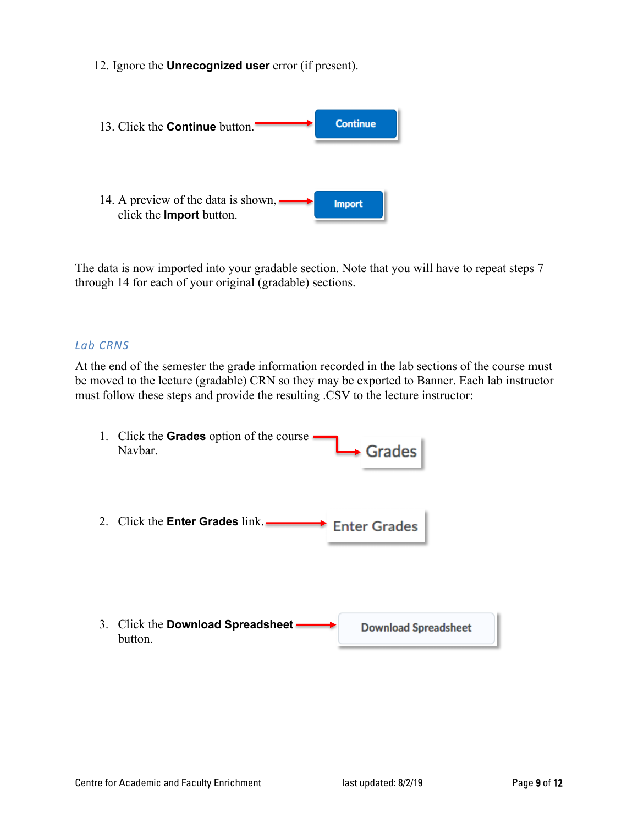12. Ignore the **Unrecognized user** error (if present).



The data is now imported into your gradable section. Note that you will have to repeat steps 7 through 14 for each of your original (gradable) sections.

#### *Lab CRNS*

At the end of the semester the grade information recorded in the lab sections of the course must be moved to the lecture (gradable) CRN so they may be exported to Banner. Each lab instructor must follow these steps and provide the resulting .CSV to the lecture instructor:

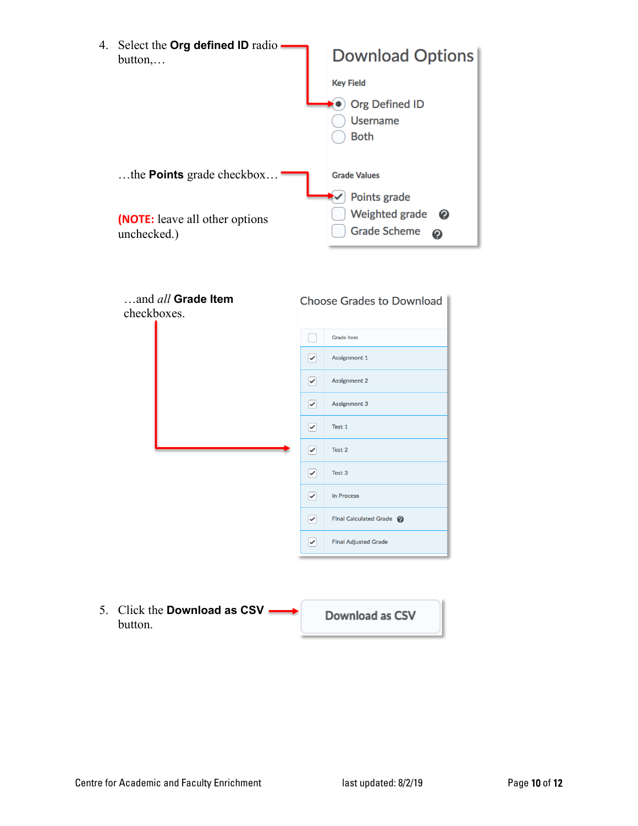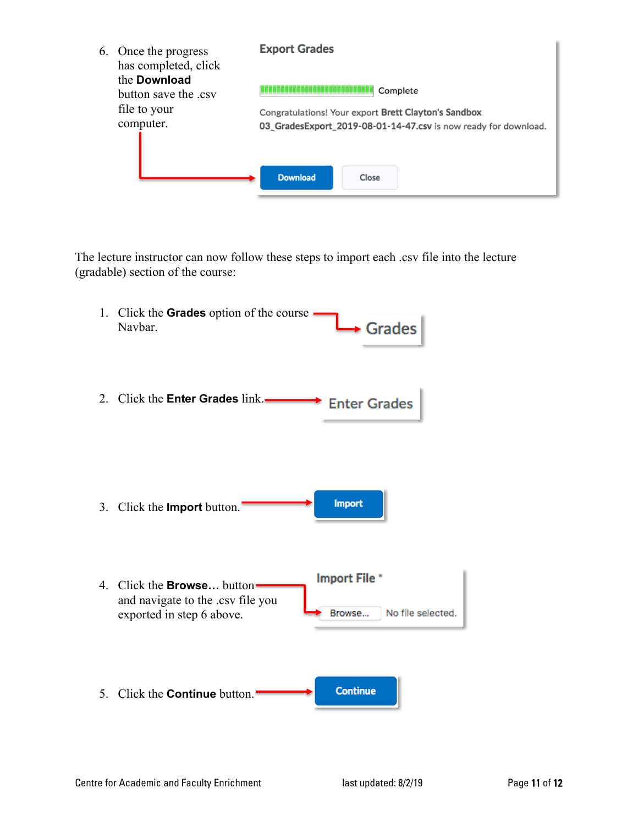| 6. Once the progress<br>has completed, click<br>the <b>Download</b><br>button save the .csv<br>file to your<br>computer. | <b>Export Grades</b><br>Complete<br>Congratulations! Your export Brett Clayton's Sandbox<br>03_GradesExport_2019-08-01-14-47.csv is now ready for download. |
|--------------------------------------------------------------------------------------------------------------------------|-------------------------------------------------------------------------------------------------------------------------------------------------------------|
|                                                                                                                          | <b>Download</b><br>Close                                                                                                                                    |

The lecture instructor can now follow these steps to import each .csv file into the lecture (gradable) section of the course: